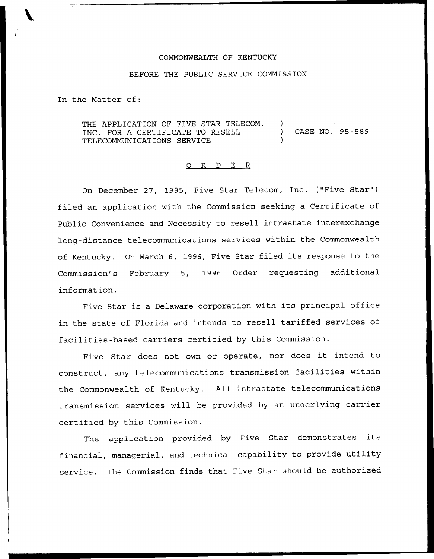## COMMONWEALTH OF KENTUCKY

## BEFORE THE PUBLIC SERVICE COMMISSION

In the Matter of:

THE APPLICATION OF FIVE STAR TELECOM, INC. FOR <sup>A</sup> CERTIFICATE TO RESELL ) CASE NO. 95-589 TELECOMMUNICATIONS SERVICE )

## 0 R <sup>D</sup> E R

On December 27, 1995, Five Star Telecom, Inc. ("Five Star" ) filed an application with the Commission seeking a Certificate of Public Convenience and Necessity to resell intrastate interexchange long-distance telecommunications services within the Commonwealth of Kentucky. On March 6, 1996, Five Star filed its response to the Commission's February 5, 1996 Order requesting additional information.

Five Star is <sup>a</sup> Delaware corporation with its principal office in the state of Florida and intends to resell tariffed services of facilities-based carriers certified by this Commission.

Five Star does not own or operate, nor does it intend to construct, any telecommunications transmission facilities within the Commonwealth of Kentucky. All intrastate telecommunications transmission services will be provided by an underlying carrier certified by this Commission.

The application provided by Five Star demonstrates its financial, managerial, and technical capability to provide utility service. The Commission finds that Five Star should be authorized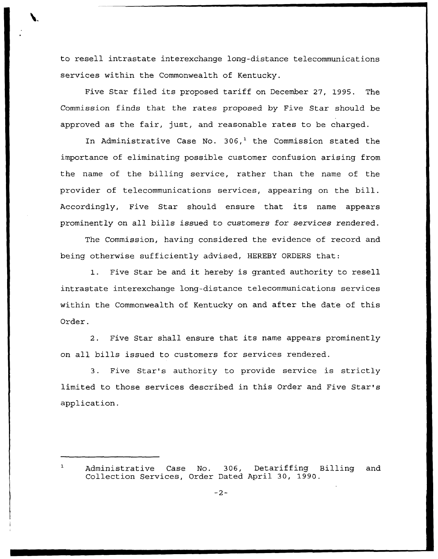to resell intrastate interexchange long-distance telecommunications services within the Commonwealth of Kentucky.

Five Star filed its proposed tariff on December 27, 1995. The Commission finds that the rates proposed by Five Star should be approved as the fair, just, and reasonable rates to be charged.

In Administrative Case No.  $306<sup>1</sup>$  the Commission stated the importance of eliminating possible customer confusion arising from the name of the billing service, rather than the name of the provider of telecommunications services, appearing on the bill. Accordingly, Five Star should ensure that its name appears prominently on all bills issued to customers for services rendered.

The Commission, having considered the evidence of record and being otherwise sufficiently advised, HEREBY ORDERS that:

1. Five Star be and it hereby is granted authority to resell intrastate interexchange long-distance telecommunications services within the Commonwealth of Kentucky on and after the date of this Order.

2. Five Star shall ensure that its name appears prominently on all bills issued to customers for services rendered.

3. Five Star's authority to provide service is strictly limited to those services described in this Order and Five Star's application.

Administrative Case No. 306, Detariffing Billing and Collection Services, Order Dated April 30, 1990.